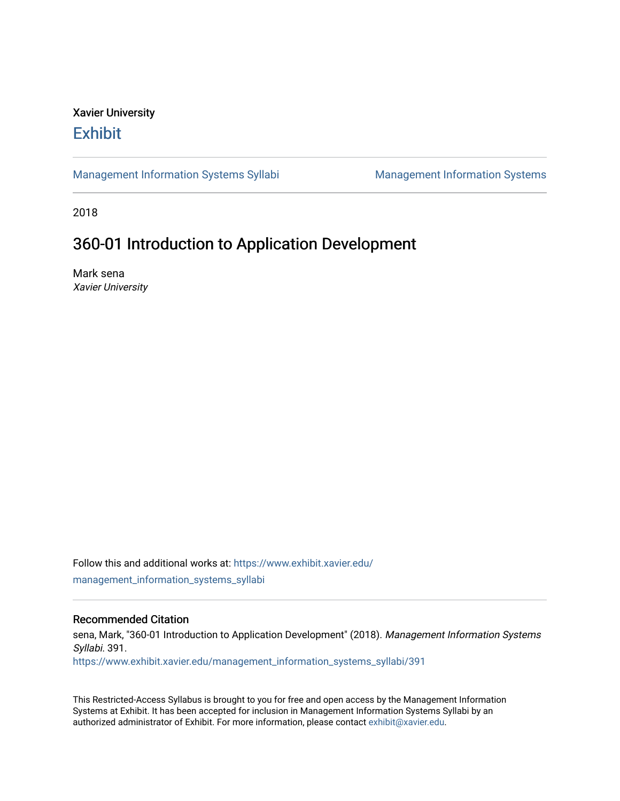## Xavier University **Exhibit**

[Management Information Systems Syllabi](https://www.exhibit.xavier.edu/management_information_systems_syllabi) Management Information Systems

2018

# 360-01 Introduction to Application Development

Mark sena Xavier University

Follow this and additional works at: [https://www.exhibit.xavier.edu/](https://www.exhibit.xavier.edu/management_information_systems_syllabi?utm_source=www.exhibit.xavier.edu%2Fmanagement_information_systems_syllabi%2F391&utm_medium=PDF&utm_campaign=PDFCoverPages) [management\\_information\\_systems\\_syllabi](https://www.exhibit.xavier.edu/management_information_systems_syllabi?utm_source=www.exhibit.xavier.edu%2Fmanagement_information_systems_syllabi%2F391&utm_medium=PDF&utm_campaign=PDFCoverPages) 

#### Recommended Citation

sena, Mark, "360-01 Introduction to Application Development" (2018). Management Information Systems Syllabi. 391. [https://www.exhibit.xavier.edu/management\\_information\\_systems\\_syllabi/391](https://www.exhibit.xavier.edu/management_information_systems_syllabi/391?utm_source=www.exhibit.xavier.edu%2Fmanagement_information_systems_syllabi%2F391&utm_medium=PDF&utm_campaign=PDFCoverPages) 

This Restricted-Access Syllabus is brought to you for free and open access by the Management Information Systems at Exhibit. It has been accepted for inclusion in Management Information Systems Syllabi by an authorized administrator of Exhibit. For more information, please contact [exhibit@xavier.edu](mailto:exhibit@xavier.edu).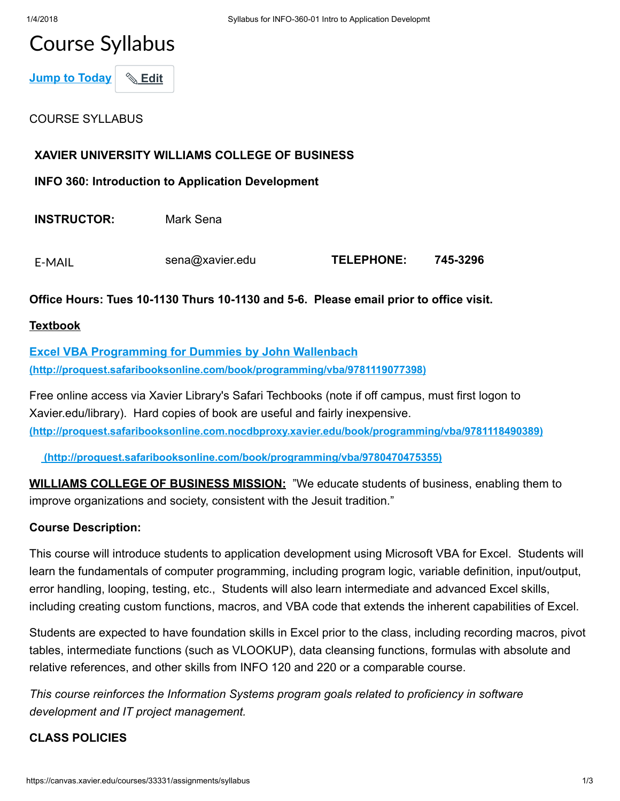# Course Syllabus

Jump to Today \& Edit

### COURSE SYLLABUS

#### XAVIER UNIVERSITY WILLIAMS COLLEGE OF BUSINESS

INFO 360: Introduction to Application Development

INSTRUCTOR: Mark Sena

| E-MAIL | sena@xavier.edu | <b>TELEPHONE:</b> | 745-3296 |
|--------|-----------------|-------------------|----------|
|--------|-----------------|-------------------|----------|

#### Office Hours: Tues 10-1130 Thurs 10-1130 and 5-6. Please email prior to office visit.

#### Textbook

Excel VBA Programming for Dummies by John Wallenbach [\(http://proquest.safaribooksonline.com/book/programming/vba/9781119077398\)](http://proquest.safaribooksonline.com/book/programming/vba/9781119077398)

Free online access via Xavier Library's Safari Techbooks (note if off campus, must first logon to Xavier.edu/library). Hard copies of book are useful and fairly inexpensive. [\(http://proquest.safaribooksonline.com.nocdbproxy.xavier.edu/book/programming/vba/9781118490389\)](http://proquest.safaribooksonline.com.nocdbproxy.xavier.edu/book/programming/vba/9781118490389)

[\(http://proquest.safaribooksonline.com/book/programming/vba/9780470475355\)](http://proquest.safaribooksonline.com/book/programming/vba/9780470475355)

**WILLIAMS COLLEGE OF BUSINESS MISSION:** "We educate students of business, enabling them to improve organizations and society, consistent with the Jesuit tradition."

#### Course Description:

This course will introduce students to application development using Microsoft VBA for Excel. Students will learn the fundamentals of computer programming, including program logic, variable definition, input/output, error handling, looping, testing, etc., Students will also learn intermediate and advanced Excel skills, including creating custom functions, macros, and VBA code that extends the inherent capabilities of Excel.

Students are expected to have foundation skills in Excel prior to the class, including recording macros, pivot tables, intermediate functions (such as VLOOKUP), data cleansing functions, formulas with absolute and relative references, and other skills from INFO 120 and 220 or a comparable course.

This course reinforces the Information Systems program goals related to proficiency in software development and IT project management.

#### CLASS POLICIES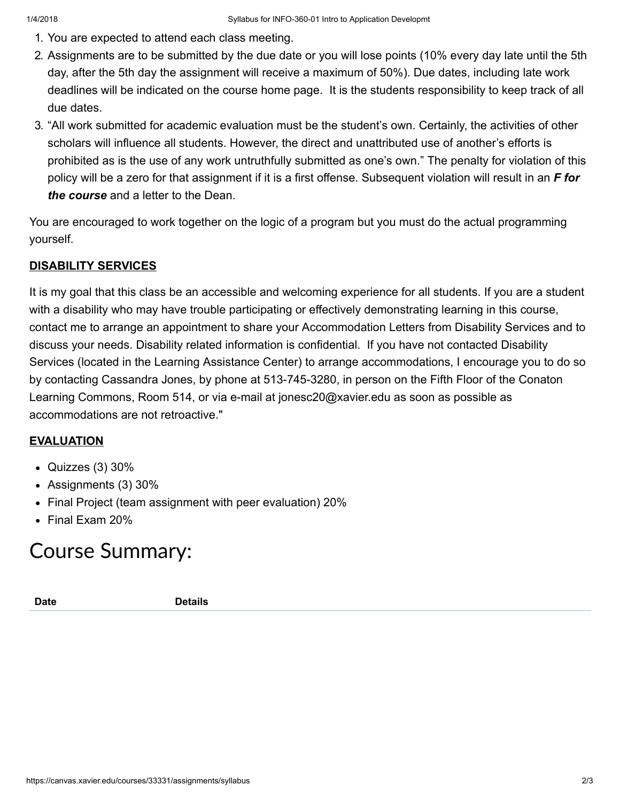- 1. You are expected to attend each class meeting.
- 2. Assignments are to be submitted by the due date or you will lose points (10% every day late until the 5th day, after the 5th day the assignment will receive a maximum of 50%). Due dates, including late work deadlines will be indicated on the course home page. It is the students responsibility to keep track of all due dates.
- 3. "All work submitted for academic evaluation must be the student's own. Certainly, the activities of other scholars will influence all students. However, the direct and unattributed use of another's efforts is prohibited as is the use of any work untruthfully submitted as one's own." The penalty for violation of this policy will be a zero for that assignment if it is a first offense. Subsequent violation will result in an F for the course and a letter to the Dean.

You are encouraged to work together on the logic of a program but you must do the actual programming yourself.

## DISABILITY SERVICES

It is my goal that this class be an accessible and welcoming experience for all students. If you are a student with a disability who may have trouble participating or effectively demonstrating learning in this course, contact me to arrange an appointment to share your Accommodation Letters from Disability Services and to discuss your needs. Disability related information is confidential. If you have not contacted Disability Services (located in the Learning Assistance Center) to arrange accommodations, I encourage you to do so by contacting Cassandra Jones, by phone at 513-745-3280, in person on the Fifth Floor of the Conaton Learning Commons, Room 514, or via e-mail at jonesc20@xavier.edu as soon as possible as accommodations are not retroactive."

### EVALUATION

- $\bullet$  Quizzes (3) 30%
- Assignments (3) 30%
- Final Project (team assignment with peer evaluation) 20%
- Final Exam 20%

# Course Summary:

Date **Details**